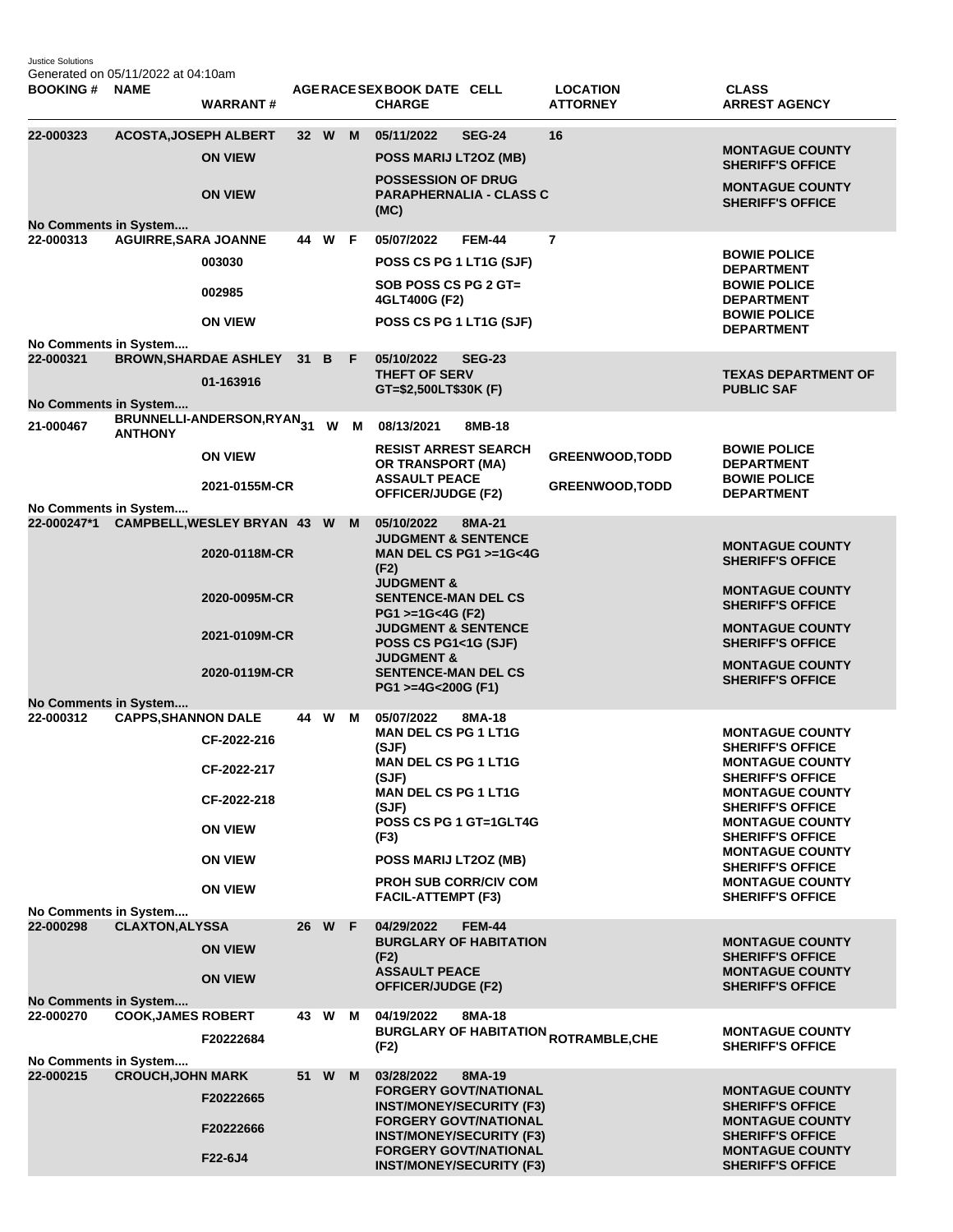Justice Solutions Generated on 05/11/2022 at 04:10am

| <b>BOOKING#</b>                                                    | <b>NAME</b>                  | <b>WARRANT#</b>                                                                                 |        |   | AGERACE SEX BOOK DATE CELL<br><b>CHARGE</b>                                                                                                                                                                                                                |               | <b>LOCATION</b><br><b>ATTORNEY</b>                     | <b>CLASS</b><br><b>ARREST AGENCY</b>                                                                                                                                                                                                                                                                                       |
|--------------------------------------------------------------------|------------------------------|-------------------------------------------------------------------------------------------------|--------|---|------------------------------------------------------------------------------------------------------------------------------------------------------------------------------------------------------------------------------------------------------------|---------------|--------------------------------------------------------|----------------------------------------------------------------------------------------------------------------------------------------------------------------------------------------------------------------------------------------------------------------------------------------------------------------------------|
| 22-000323                                                          | <b>ACOSTA, JOSEPH ALBERT</b> | <b>ON VIEW</b><br><b>ON VIEW</b>                                                                | 32 W M |   | 05/11/2022<br>POSS MARIJ LT2OZ (MB)<br><b>POSSESSION OF DRUG</b><br><b>PARAPHERNALIA - CLASS C</b><br>(MC)                                                                                                                                                 | <b>SEG-24</b> | 16                                                     | <b>MONTAGUE COUNTY</b><br><b>SHERIFF'S OFFICE</b><br><b>MONTAGUE COUNTY</b><br><b>SHERIFF'S OFFICE</b>                                                                                                                                                                                                                     |
| <b>No Comments in System</b><br>22-000313                          | <b>AGUIRRE, SARA JOANNE</b>  | 003030<br>002985                                                                                | 44 W F |   | 05/07/2022<br>POSS CS PG 1 LT1G (SJF)<br>SOB POSS CS PG 2 GT=<br>4GLT400G (F2)                                                                                                                                                                             | <b>FEM-44</b> | $\overline{7}$                                         | <b>BOWIE POLICE</b><br><b>DEPARTMENT</b><br><b>BOWIE POLICE</b><br><b>DEPARTMENT</b><br><b>BOWIE POLICE</b>                                                                                                                                                                                                                |
| No Comments in System<br>22-000321                                 |                              | <b>ON VIEW</b><br><b>BROWN, SHARDAE ASHLEY</b>                                                  | 31 B F |   | POSS CS PG 1 LT1G (SJF)<br>05/10/2022                                                                                                                                                                                                                      | <b>SEG-23</b> |                                                        | <b>DEPARTMENT</b>                                                                                                                                                                                                                                                                                                          |
| No Comments in System                                              |                              | 01-163916<br>BRUNNELLI-ANDERSON,RYAN <sub>31</sub> W M 08/13/2021                               |        |   | <b>THEFT OF SERV</b><br>GT=\$2,500LT\$30K (F)                                                                                                                                                                                                              |               |                                                        | <b>TEXAS DEPARTMENT OF</b><br><b>PUBLIC SAF</b>                                                                                                                                                                                                                                                                            |
| 21-000467                                                          | <b>ANTHONY</b>               | <b>ON VIEW</b><br>2021-0155M-CR                                                                 |        |   | <b>RESIST ARREST SEARCH</b><br><b>OR TRANSPORT (MA)</b><br><b>ASSAULT PEACE</b><br>OFFICER/JUDGE (F2)                                                                                                                                                      | 8MB-18        | <b>GREENWOOD, TODD</b><br><b>GREENWOOD, TODD</b>       | <b>BOWIE POLICE</b><br><b>DEPARTMENT</b><br><b>BOWIE POLICE</b><br><b>DEPARTMENT</b>                                                                                                                                                                                                                                       |
| No Comments in System                                              |                              | 22-000247*1 CAMPBELL, WESLEY BRYAN 43 W<br>2020-0118M-CR                                        |        | M | 05/10/2022<br><b>JUDGMENT &amp; SENTENCE</b><br>MAN DEL CS PG1 >=1G<4G<br>(F2)                                                                                                                                                                             | 8MA-21        |                                                        | <b>MONTAGUE COUNTY</b><br><b>SHERIFF'S OFFICE</b>                                                                                                                                                                                                                                                                          |
|                                                                    |                              | 2020-0095M-CR<br>2021-0109M-CR<br>2020-0119M-CR                                                 |        |   | <b>JUDGMENT &amp;</b><br><b>SENTENCE-MAN DEL CS</b><br>PG1 >=1G<4G (F2)<br><b>JUDGMENT &amp; SENTENCE</b><br>POSS CS PG1<1G (SJF)<br><b>JUDGMENT &amp;</b><br><b>SENTENCE-MAN DEL CS</b><br>PG1 >=4G<200G (F1)                                             |               |                                                        | <b>MONTAGUE COUNTY</b><br><b>SHERIFF'S OFFICE</b><br><b>MONTAGUE COUNTY</b><br><b>SHERIFF'S OFFICE</b><br><b>MONTAGUE COUNTY</b><br><b>SHERIFF'S OFFICE</b>                                                                                                                                                                |
| No Comments in System<br>22-000312                                 | <b>CAPPS, SHANNON DALE</b>   | CF-2022-216<br>CF-2022-217<br>CF-2022-218<br><b>ON VIEW</b><br><b>ON VIEW</b><br><b>ON VIEW</b> | 44 W   | м | 05/07/2022<br><b>MAN DEL CS PG 1 LT1G</b><br>(SJF)<br><b>MAN DEL CS PG 1 LT1G</b><br>(SJF)<br><b>MAN DEL CS PG 1 LT1G</b><br>(SJF)<br>POSS CS PG 1 GT=1GLT4G<br>(F3)<br>POSS MARIJ LT20Z (MB)<br><b>PROH SUB CORR/CIV COM</b><br><b>FACIL-ATTEMPT (F3)</b> | 8MA-18        |                                                        | <b>MONTAGUE COUNTY</b><br><b>SHERIFF'S OFFICE</b><br><b>MONTAGUE COUNTY</b><br><b>SHERIFF'S OFFICE</b><br><b>MONTAGUE COUNTY</b><br><b>SHERIFF'S OFFICE</b><br><b>MONTAGUE COUNTY</b><br><b>SHERIFF'S OFFICE</b><br><b>MONTAGUE COUNTY</b><br><b>SHERIFF'S OFFICE</b><br><b>MONTAGUE COUNTY</b><br><b>SHERIFF'S OFFICE</b> |
| No Comments in System<br>22-000298<br><b>No Comments in System</b> | <b>CLAXTON, ALYSSA</b>       | <b>ON VIEW</b><br><b>ON VIEW</b>                                                                | 26 W F |   | 04/29/2022<br><b>BURGLARY OF HABITATION</b><br>(F2)<br><b>ASSAULT PEACE</b><br><b>OFFICER/JUDGE (F2)</b>                                                                                                                                                   | <b>FEM-44</b> |                                                        | <b>MONTAGUE COUNTY</b><br><b>SHERIFF'S OFFICE</b><br><b>MONTAGUE COUNTY</b><br><b>SHERIFF'S OFFICE</b>                                                                                                                                                                                                                     |
| 22-000270<br>No Comments in System                                 | <b>COOK, JAMES ROBERT</b>    | F20222684                                                                                       | 43 W   | M | 04/19/2022<br>(F2)                                                                                                                                                                                                                                         | 8MA-18        | <b>BURGLARY OF HABITATION <sub>ROTRAMBLE,CHE</sub></b> | <b>MONTAGUE COUNTY</b><br><b>SHERIFF'S OFFICE</b>                                                                                                                                                                                                                                                                          |
| 22-000215                                                          | <b>CROUCH, JOHN MARK</b>     | F20222665<br>F20222666<br>F22-6J4                                                               | 51 W   | M | 03/28/2022<br><b>FORGERY GOVT/NATIONAL</b><br><b>INST/MONEY/SECURITY (F3)</b><br><b>FORGERY GOVT/NATIONAL</b><br><b>INST/MONEY/SECURITY (F3)</b><br><b>FORGERY GOVT/NATIONAL</b><br><b>INST/MONEY/SECURITY (F3)</b>                                        | 8MA-19        |                                                        | <b>MONTAGUE COUNTY</b><br><b>SHERIFF'S OFFICE</b><br><b>MONTAGUE COUNTY</b><br><b>SHERIFF'S OFFICE</b><br><b>MONTAGUE COUNTY</b><br><b>SHERIFF'S OFFICE</b>                                                                                                                                                                |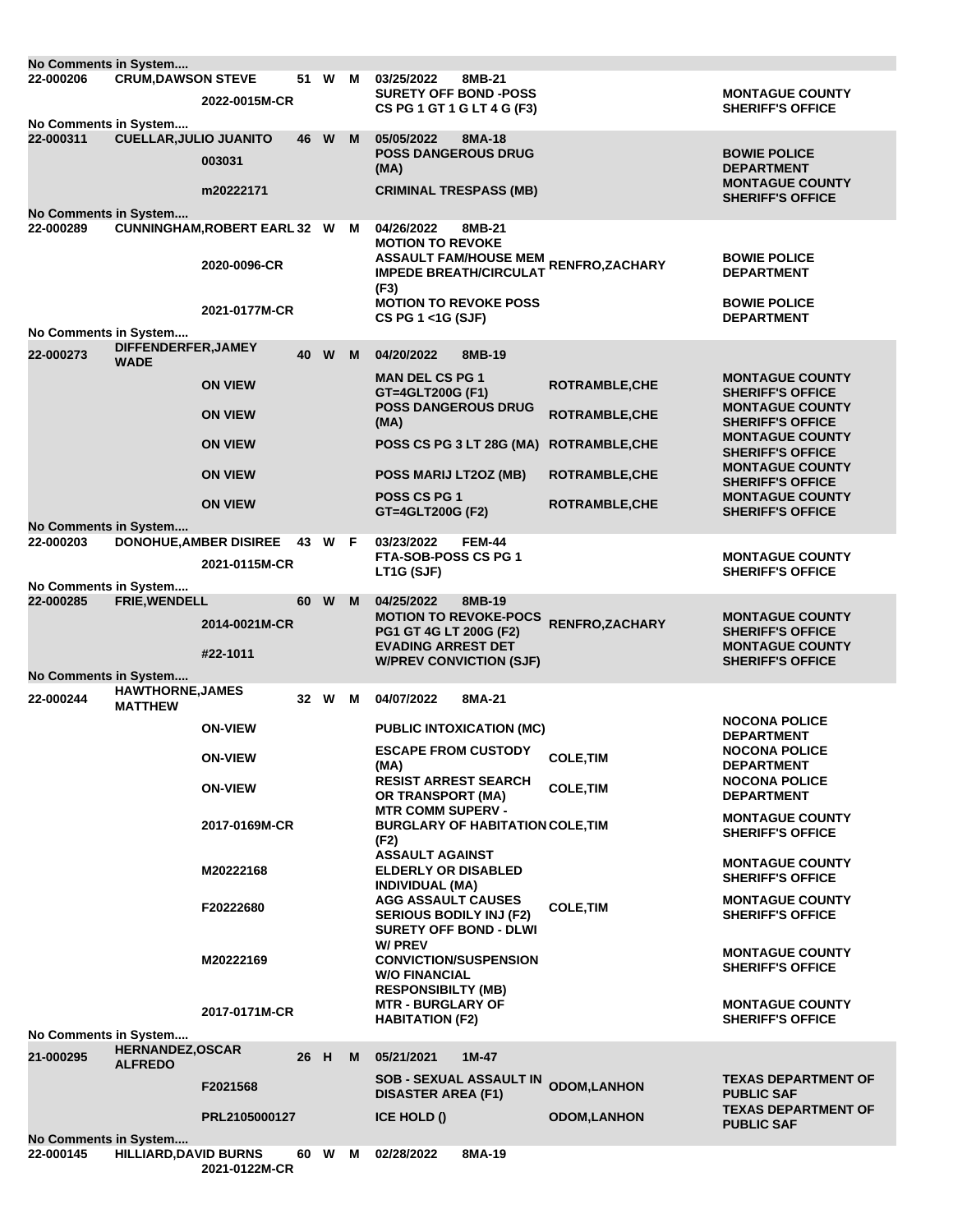| No Comments in System                     |                               |                                     |      |        |   |                                                                       |                       |                                                   |
|-------------------------------------------|-------------------------------|-------------------------------------|------|--------|---|-----------------------------------------------------------------------|-----------------------|---------------------------------------------------|
| 22-000206                                 | <b>CRUM, DAWSON STEVE</b>     |                                     | 51   | W      | M | 03/25/2022<br>8MB-21                                                  |                       |                                                   |
|                                           |                               | 2022-0015M-CR                       |      |        |   | <b>SURETY OFF BOND -POSS</b><br>CS PG 1 GT 1 G LT 4 G (F3)            |                       | <b>MONTAGUE COUNTY</b><br><b>SHERIFF'S OFFICE</b> |
| No Comments in System                     |                               |                                     |      |        |   |                                                                       |                       |                                                   |
| 22-000311                                 | <b>CUELLAR, JULIO JUANITO</b> |                                     | 46   | W      | M | 05/05/2022<br>8MA-18                                                  |                       |                                                   |
|                                           |                               | 003031                              |      |        |   | <b>POSS DANGEROUS DRUG</b><br>(MA)                                    |                       | <b>BOWIE POLICE</b><br><b>DEPARTMENT</b>          |
|                                           |                               | m20222171                           |      |        |   | <b>CRIMINAL TRESPASS (MB)</b>                                         |                       | <b>MONTAGUE COUNTY</b>                            |
|                                           |                               |                                     |      |        |   |                                                                       |                       | <b>SHERIFF'S OFFICE</b>                           |
| <b>No Comments in System</b><br>22-000289 |                               | <b>CUNNINGHAM, ROBERT EARL 32 W</b> |      |        | M | 04/26/2022<br>8MB-21                                                  |                       |                                                   |
|                                           |                               |                                     |      |        |   | <b>MOTION TO REVOKE</b>                                               |                       |                                                   |
|                                           |                               | 2020-0096-CR                        |      |        |   | ASSAULT FAM/HOUSE MEM RENFRO,ZACHARY<br><b>IMPEDE BREATH/CIRCULAT</b> |                       | <b>BOWIE POLICE</b>                               |
|                                           |                               |                                     |      |        |   | (F3)                                                                  |                       | <b>DEPARTMENT</b>                                 |
|                                           |                               | 2021-0177M-CR                       |      |        |   | <b>MOTION TO REVOKE POSS</b>                                          |                       | <b>BOWIE POLICE</b>                               |
| No Comments in System                     |                               |                                     |      |        |   | CS PG 1 <1G (SJF)                                                     |                       | <b>DEPARTMENT</b>                                 |
| 22-000273                                 | DIFFENDERFER, JAMEY           |                                     |      |        |   |                                                                       |                       |                                                   |
|                                           | <b>WADE</b>                   |                                     | 40   | W      | M | 04/20/2022<br>8MB-19                                                  |                       |                                                   |
|                                           |                               | <b>ON VIEW</b>                      |      |        |   | <b>MAN DEL CS PG 1</b><br>GT=4GLT200G (F1)                            | <b>ROTRAMBLE, CHE</b> | <b>MONTAGUE COUNTY</b><br><b>SHERIFF'S OFFICE</b> |
|                                           |                               | <b>ON VIEW</b>                      |      |        |   | <b>POSS DANGEROUS DRUG</b>                                            | <b>ROTRAMBLE, CHE</b> | <b>MONTAGUE COUNTY</b>                            |
|                                           |                               |                                     |      |        |   | (MA)                                                                  |                       | <b>SHERIFF'S OFFICE</b>                           |
|                                           |                               | <b>ON VIEW</b>                      |      |        |   | POSS CS PG 3 LT 28G (MA)                                              | <b>ROTRAMBLE, CHE</b> | <b>MONTAGUE COUNTY</b><br><b>SHERIFF'S OFFICE</b> |
|                                           |                               | <b>ON VIEW</b>                      |      |        |   | POSS MARIJ LT2OZ (MB)                                                 | <b>ROTRAMBLE, CHE</b> | <b>MONTAGUE COUNTY</b><br><b>SHERIFF'S OFFICE</b> |
|                                           |                               | <b>ON VIEW</b>                      |      |        |   | POSS CS PG 1                                                          | <b>ROTRAMBLE, CHE</b> | <b>MONTAGUE COUNTY</b>                            |
| No Comments in System                     |                               |                                     |      |        |   | GT=4GLT200G (F2)                                                      |                       | <b>SHERIFF'S OFFICE</b>                           |
| 22-000203                                 |                               | DONOHUE, AMBER DISIREE 43 W F       |      |        |   | 03/23/2022<br><b>FEM-44</b>                                           |                       |                                                   |
|                                           |                               | 2021-0115M-CR                       |      |        |   | FTA-SOB-POSS CS PG 1                                                  |                       | <b>MONTAGUE COUNTY</b>                            |
| No Comments in System                     |                               |                                     |      |        |   | LT1G (SJF)                                                            |                       | <b>SHERIFF'S OFFICE</b>                           |
| 22-000285                                 | <b>FRIE, WENDELL</b>          |                                     | 60   | W      | M | 04/25/2022<br>8MB-19                                                  |                       |                                                   |
|                                           |                               | 2014-0021M-CR                       |      |        |   | <b>MOTION TO REVOKE-POCS</b><br>PG1 GT 4G LT 200G (F2)                | <b>RENFRO,ZACHARY</b> | <b>MONTAGUE COUNTY</b><br><b>SHERIFF'S OFFICE</b> |
|                                           |                               |                                     |      |        |   | <b>EVADING ARREST DET</b>                                             |                       | <b>MONTAGUE COUNTY</b>                            |
|                                           |                               | #22-1011                            |      |        |   | <b>W/PREV CONVICTION (SJF)</b>                                        |                       | <b>SHERIFF'S OFFICE</b>                           |
| No Comments in System                     | <b>HAWTHORNE, JAMES</b>       |                                     |      |        |   |                                                                       |                       |                                                   |
| 22-000244                                 | <b>MATTHEW</b>                |                                     |      | 32 W M |   | 04/07/2022<br>8MA-21                                                  |                       |                                                   |
|                                           |                               | <b>ON-VIEW</b>                      |      |        |   | <b>PUBLIC INTOXICATION (MC)</b>                                       |                       | <b>NOCONA POLICE</b>                              |
|                                           |                               |                                     |      |        |   | <b>ESCAPE FROM CUSTODY</b>                                            |                       | <b>DEPARTMENT</b><br><b>NOCONA POLICE</b>         |
|                                           |                               | <b>ON-VIEW</b>                      |      |        |   | (MA)                                                                  | <b>COLE, TIM</b>      | <b>DEPARTMENT</b>                                 |
|                                           |                               | <b>ON-VIEW</b>                      |      |        |   | <b>RESIST ARREST SEARCH</b>                                           | <b>COLE, TIM</b>      | <b>NOCONA POLICE</b>                              |
|                                           |                               |                                     |      |        |   | OR TRANSPORT (MA)<br><b>MTR COMM SUPERV -</b>                         |                       | <b>DEPARTMENT</b>                                 |
|                                           |                               | 2017-0169M-CR                       |      |        |   | <b>BURGLARY OF HABITATION COLE, TIM</b>                               |                       | <b>MONTAGUE COUNTY</b><br><b>SHERIFF'S OFFICE</b> |
|                                           |                               |                                     |      |        |   | (F2)<br><b>ASSAULT AGAINST</b>                                        |                       |                                                   |
|                                           |                               | M20222168                           |      |        |   | <b>ELDERLY OR DISABLED</b>                                            |                       | <b>MONTAGUE COUNTY</b>                            |
|                                           |                               |                                     |      |        |   | <b>INDIVIDUAL (MA)</b>                                                |                       | <b>SHERIFF'S OFFICE</b>                           |
|                                           |                               | F20222680                           |      |        |   | <b>AGG ASSAULT CAUSES</b><br><b>SERIOUS BODILY INJ (F2)</b>           | <b>COLE, TIM</b>      | <b>MONTAGUE COUNTY</b><br><b>SHERIFF'S OFFICE</b> |
|                                           |                               |                                     |      |        |   | <b>SURETY OFF BOND - DLWI</b>                                         |                       |                                                   |
|                                           |                               |                                     |      |        |   | <b>W/PREV</b>                                                         |                       | <b>MONTAGUE COUNTY</b>                            |
|                                           |                               | M20222169                           |      |        |   | <b>CONVICTION/SUSPENSION</b><br><b>W/O FINANCIAL</b>                  |                       | <b>SHERIFF'S OFFICE</b>                           |
|                                           |                               |                                     |      |        |   | <b>RESPONSIBILTY (MB)</b>                                             |                       |                                                   |
|                                           |                               | 2017-0171M-CR                       |      |        |   | <b>MTR - BURGLARY OF</b>                                              |                       | <b>MONTAGUE COUNTY</b>                            |
| No Comments in System                     |                               |                                     |      |        |   | <b>HABITATION (F2)</b>                                                |                       | <b>SHERIFF'S OFFICE</b>                           |
| 21-000295                                 | <b>HERNANDEZ, OSCAR</b>       |                                     | 26   | H      | M | 05/21/2021<br>$1M-47$                                                 |                       |                                                   |
|                                           | <b>ALFREDO</b>                |                                     |      |        |   |                                                                       |                       |                                                   |
|                                           |                               | F2021568                            |      |        |   | <b>SOB - SEXUAL ASSAULT IN</b><br><b>DISASTER AREA (F1)</b>           | <b>ODOM,LANHON</b>    | <b>TEXAS DEPARTMENT OF</b><br><b>PUBLIC SAF</b>   |
|                                           |                               |                                     |      |        |   |                                                                       |                       | <b>TEXAS DEPARTMENT OF</b>                        |
|                                           |                               |                                     |      |        |   |                                                                       |                       |                                                   |
|                                           |                               | PRL2105000127                       |      |        |   | ICE HOLD ()                                                           | <b>ODOM, LANHON</b>   | <b>PUBLIC SAF</b>                                 |
| No Comments in System<br>22-000145        | <b>HILLIARD, DAVID BURNS</b>  |                                     | 60 W |        | M | 8MA-19<br>02/28/2022                                                  |                       |                                                   |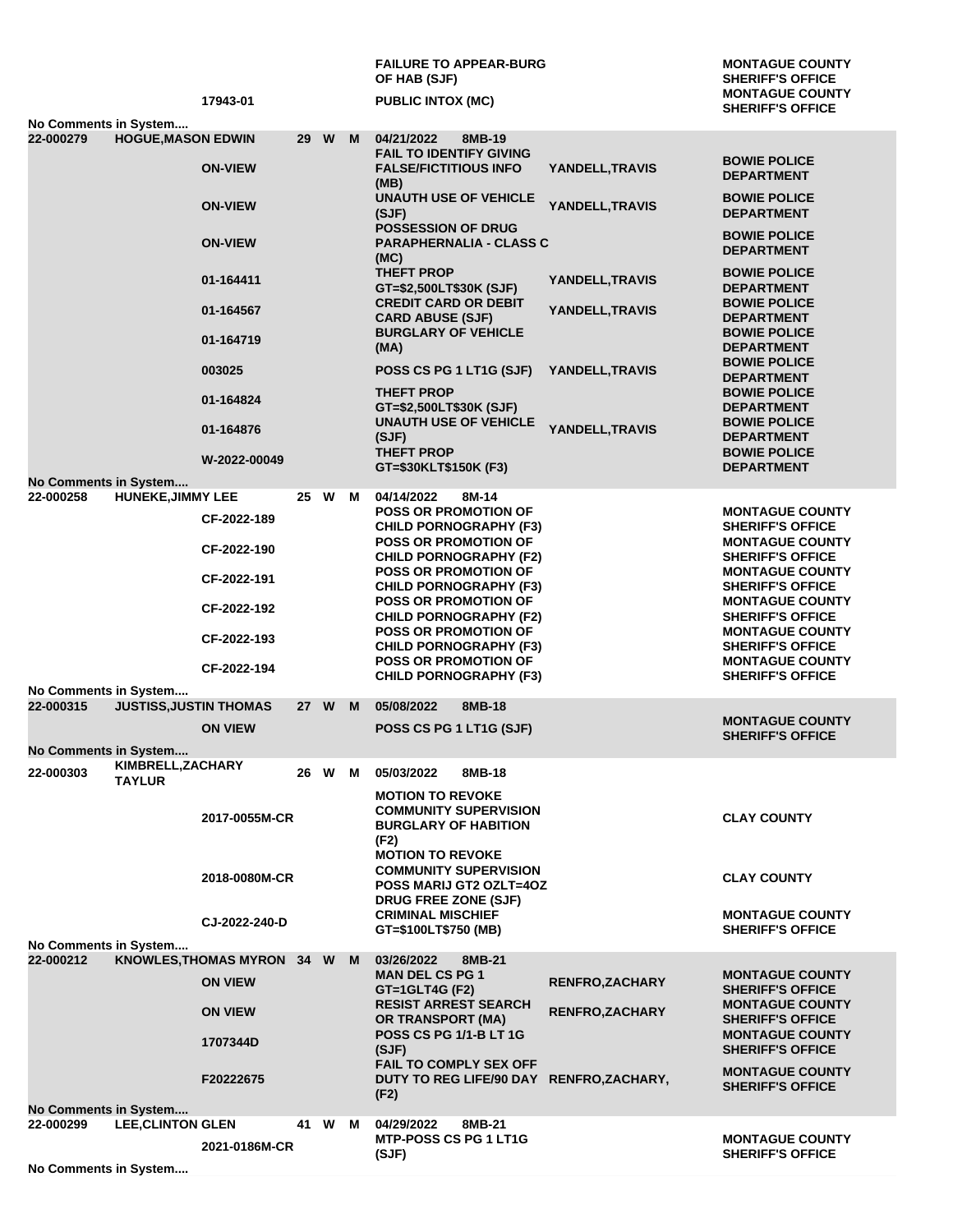|                                    |                               |                              |    |          |   | <b>FAILURE TO APPEAR-BURG</b><br>OF HAB (SJF)                                                  |                        | <b>MONTAGUE COUNTY</b><br><b>SHERIFF'S OFFICE</b>               |
|------------------------------------|-------------------------------|------------------------------|----|----------|---|------------------------------------------------------------------------------------------------|------------------------|-----------------------------------------------------------------|
|                                    |                               | 17943-01                     |    |          |   | <b>PUBLIC INTOX (MC)</b>                                                                       |                        | <b>MONTAGUE COUNTY</b><br><b>SHERIFF'S OFFICE</b>               |
| No Comments in System<br>22-000279 | <b>HOGUE, MASON EDWIN</b>     |                              | 29 | <b>W</b> | M | 04/21/2022<br>8MB-19<br><b>FAIL TO IDENTIFY GIVING</b>                                         |                        |                                                                 |
|                                    |                               | <b>ON-VIEW</b>               |    |          |   | <b>FALSE/FICTITIOUS INFO</b><br>(MB)                                                           | YANDELL, TRAVIS        | <b>BOWIE POLICE</b><br><b>DEPARTMENT</b>                        |
|                                    |                               | <b>ON-VIEW</b>               |    |          |   | <b>UNAUTH USE OF VEHICLE</b><br>(SJF)                                                          | YANDELL, TRAVIS        | <b>BOWIE POLICE</b><br><b>DEPARTMENT</b>                        |
|                                    |                               | <b>ON-VIEW</b>               |    |          |   | <b>POSSESSION OF DRUG</b><br><b>PARAPHERNALIA - CLASS C</b><br>(MC)                            |                        | <b>BOWIE POLICE</b><br><b>DEPARTMENT</b>                        |
|                                    |                               | 01-164411                    |    |          |   | <b>THEFT PROP</b><br>GT=\$2,500LT\$30K (SJF)                                                   | YANDELL, TRAVIS        | <b>BOWIE POLICE</b><br><b>DEPARTMENT</b>                        |
|                                    |                               | 01-164567                    |    |          |   | <b>CREDIT CARD OR DEBIT</b><br><b>CARD ABUSE (SJF)</b><br><b>BURGLARY OF VEHICLE</b>           | YANDELL,TRAVIS         | <b>BOWIE POLICE</b><br><b>DEPARTMENT</b><br><b>BOWIE POLICE</b> |
|                                    |                               | 01-164719                    |    |          |   | (MA)                                                                                           |                        | <b>DEPARTMENT</b><br><b>BOWIE POLICE</b>                        |
|                                    |                               | 003025                       |    |          |   | POSS CS PG 1 LT1G (SJF)<br><b>THEFT PROP</b>                                                   | YANDELL, TRAVIS        | <b>DEPARTMENT</b><br><b>BOWIE POLICE</b>                        |
|                                    |                               | 01-164824                    |    |          |   | GT=\$2,500LT\$30K (SJF)<br><b>UNAUTH USE OF VEHICLE</b>                                        |                        | <b>DEPARTMENT</b><br><b>BOWIE POLICE</b>                        |
|                                    |                               | 01-164876                    |    |          |   | (SJF)<br><b>THEFT PROP</b>                                                                     | YANDELL, TRAVIS        | <b>DEPARTMENT</b><br><b>BOWIE POLICE</b>                        |
| No Comments in System              |                               | W-2022-00049                 |    |          |   | GT=\$30KLT\$150K (F3)                                                                          |                        | <b>DEPARTMENT</b>                                               |
| 22-000258                          | <b>HUNEKE, JIMMY LEE</b>      |                              |    | 25 W M   |   | 04/14/2022<br>8M-14                                                                            |                        |                                                                 |
|                                    |                               | CF-2022-189                  |    |          |   | <b>POSS OR PROMOTION OF</b><br><b>CHILD PORNOGRAPHY (F3)</b>                                   |                        | <b>MONTAGUE COUNTY</b><br><b>SHERIFF'S OFFICE</b>               |
|                                    |                               | CF-2022-190                  |    |          |   | <b>POSS OR PROMOTION OF</b><br><b>CHILD PORNOGRAPHY (F2)</b>                                   |                        | <b>MONTAGUE COUNTY</b><br><b>SHERIFF'S OFFICE</b>               |
|                                    |                               | CF-2022-191                  |    |          |   | <b>POSS OR PROMOTION OF</b><br><b>CHILD PORNOGRAPHY (F3)</b>                                   |                        | <b>MONTAGUE COUNTY</b><br><b>SHERIFF'S OFFICE</b>               |
|                                    |                               | CF-2022-192                  |    |          |   | <b>POSS OR PROMOTION OF</b><br><b>CHILD PORNOGRAPHY (F2)</b>                                   |                        | <b>MONTAGUE COUNTY</b><br><b>SHERIFF'S OFFICE</b>               |
|                                    |                               | CF-2022-193                  |    |          |   | <b>POSS OR PROMOTION OF</b><br><b>CHILD PORNOGRAPHY (F3)</b>                                   |                        | <b>MONTAGUE COUNTY</b><br><b>SHERIFF'S OFFICE</b>               |
|                                    |                               | CF-2022-194                  |    |          |   | POSS OR PROMOTION OF<br><b>CHILD PORNOGRAPHY (F3)</b>                                          |                        | <b>MONTAGUE COUNTY</b><br><b>SHERIFF'S OFFICE</b>               |
| No Comments in System              |                               |                              |    |          |   |                                                                                                |                        |                                                                 |
| 22-000315                          | <b>JUSTISS, JUSTIN THOMAS</b> |                              |    | 27 W     | M | 05/08/2022<br>8MB-18                                                                           |                        | <b>MONTAGUE COUNTY</b>                                          |
| No Comments in System              |                               | <b>ON VIEW</b>               |    |          |   | POSS CS PG 1 LT1G (SJF)                                                                        |                        | <b>SHERIFF'S OFFICE</b>                                         |
|                                    | KIMBRELL, ZACHARY             |                              |    |          |   |                                                                                                |                        |                                                                 |
| 22-000303                          | <b>TAYLUR</b>                 |                              |    | 26 W M   |   | 8MB-18<br>05/03/2022<br><b>MOTION TO REVOKE</b>                                                |                        |                                                                 |
|                                    |                               | 2017-0055M-CR                |    |          |   | <b>COMMUNITY SUPERVISION</b><br><b>BURGLARY OF HABITION</b><br>(F2)<br><b>MOTION TO REVOKE</b> |                        | <b>CLAY COUNTY</b>                                              |
|                                    |                               | 2018-0080M-CR                |    |          |   | <b>COMMUNITY SUPERVISION</b><br><b>POSS MARIJ GT2 OZLT=40Z</b>                                 |                        | <b>CLAY COUNTY</b>                                              |
|                                    |                               | CJ-2022-240-D                |    |          |   | DRUG FREE ZONE (SJF)<br><b>CRIMINAL MISCHIEF</b><br>GT=\$100LT\$750 (MB)                       |                        | <b>MONTAGUE COUNTY</b><br><b>SHERIFF'S OFFICE</b>               |
| No Comments in System<br>22-000212 |                               | KNOWLES, THOMAS MYRON 34 W M |    |          |   | 03/26/2022<br>8MB-21                                                                           |                        |                                                                 |
|                                    |                               | <b>ON VIEW</b>               |    |          |   | <b>MAN DEL CS PG 1</b><br>GT=1GLT4G (F2)                                                       | <b>RENFRO, ZACHARY</b> | <b>MONTAGUE COUNTY</b><br><b>SHERIFF'S OFFICE</b>               |
|                                    |                               | <b>ON VIEW</b>               |    |          |   | <b>RESIST ARREST SEARCH</b><br><b>OR TRANSPORT (MA)</b>                                        | <b>RENFRO, ZACHARY</b> | <b>MONTAGUE COUNTY</b><br><b>SHERIFF'S OFFICE</b>               |
|                                    |                               | 1707344D                     |    |          |   | <b>POSS CS PG 1/1-B LT 1G</b><br>(SJF)                                                         |                        | <b>MONTAGUE COUNTY</b><br><b>SHERIFF'S OFFICE</b>               |
|                                    |                               | F20222675                    |    |          |   | FAIL TO COMPLY SEX OFF<br>DUTY TO REG LIFE/90 DAY RENFRO, ZACHARY,<br>(F2)                     |                        | <b>MONTAGUE COUNTY</b><br><b>SHERIFF'S OFFICE</b>               |
| No Comments in System<br>22-000299 | <b>LEE, CLINTON GLEN</b>      |                              |    | 41 W M   |   | 04/29/2022<br>8MB-21                                                                           |                        |                                                                 |
|                                    |                               |                              |    |          |   | <b>MTP-POSS CS PG 1 LT1G</b>                                                                   |                        | <b>MONTAGUE COUNTY</b>                                          |
| No Comments in System              |                               | 2021-0186M-CR                |    |          |   | (SJF)                                                                                          |                        | <b>SHERIFF'S OFFICE</b>                                         |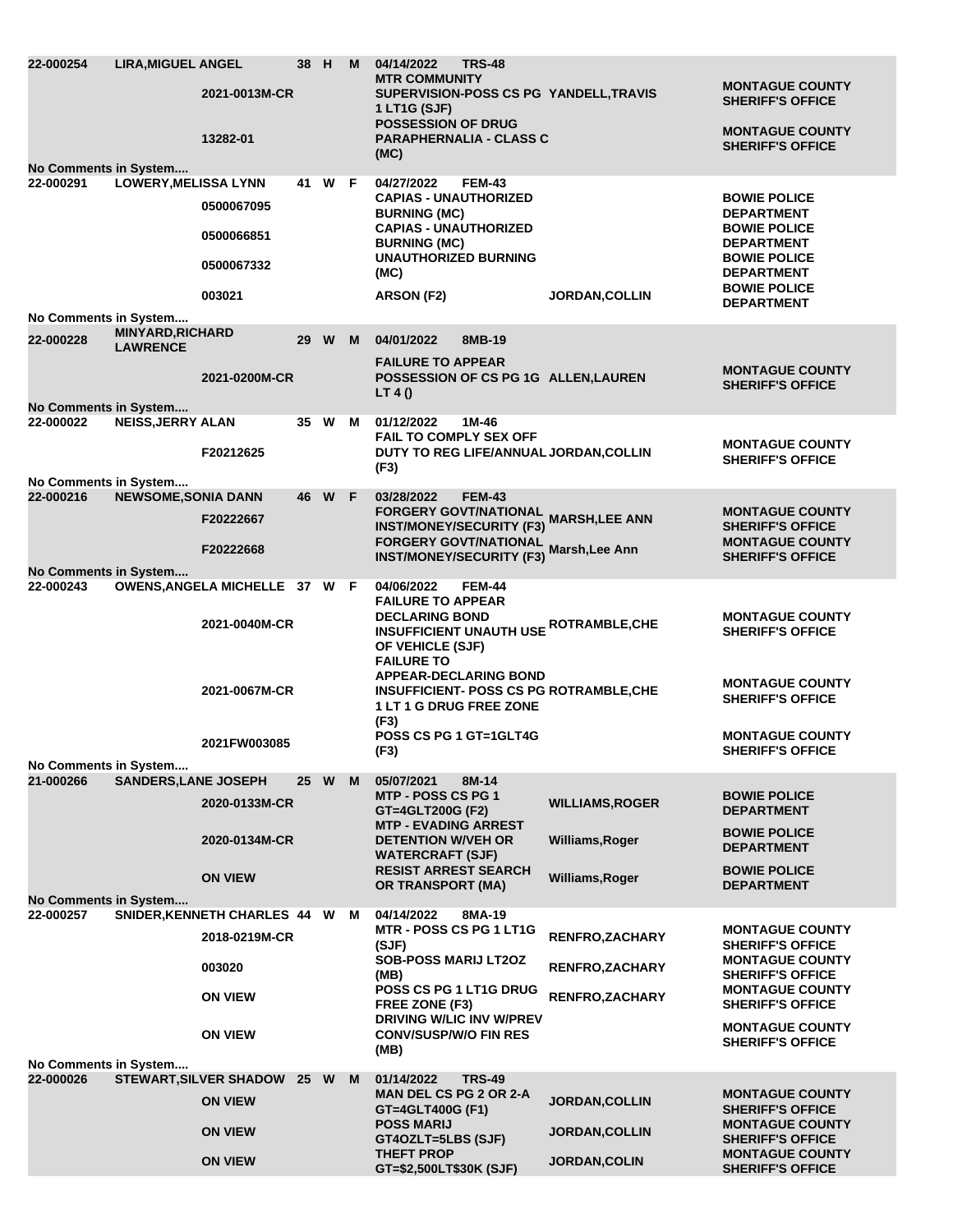| 22-000254<br>No Comments in System | <b>LIRA, MIGUEL ANGEL</b>                  | 2021-0013M-CR<br>13282-01     |                 | 38 H M   |   | 04/14/2022<br><b>TRS-48</b><br><b>MTR COMMUNITY</b><br>SUPERVISION-POSS CS PG YANDELL, TRAVIS<br>1 LT1G (SJF)<br><b>POSSESSION OF DRUG</b><br><b>PARAPHERNALIA - CLASS C</b><br>(MC) |                        | <b>MONTAGUE COUNTY</b><br><b>SHERIFF'S OFFICE</b><br><b>MONTAGUE COUNTY</b><br><b>SHERIFF'S OFFICE</b> |
|------------------------------------|--------------------------------------------|-------------------------------|-----------------|----------|---|--------------------------------------------------------------------------------------------------------------------------------------------------------------------------------------|------------------------|--------------------------------------------------------------------------------------------------------|
| 22-000291                          | <b>LOWERY, MELISSA LYNN</b>                |                               |                 | 41 W F   |   | 04/27/2022<br><b>FEM-43</b><br><b>CAPIAS - UNAUTHORIZED</b>                                                                                                                          |                        | <b>BOWIE POLICE</b>                                                                                    |
|                                    |                                            | 0500067095                    |                 |          |   | <b>BURNING (MC)</b>                                                                                                                                                                  |                        | <b>DEPARTMENT</b>                                                                                      |
|                                    |                                            | 0500066851                    |                 |          |   | <b>CAPIAS - UNAUTHORIZED</b><br><b>BURNING (MC)</b>                                                                                                                                  |                        | <b>BOWIE POLICE</b><br><b>DEPARTMENT</b>                                                               |
|                                    |                                            | 0500067332                    |                 |          |   | <b>UNAUTHORIZED BURNING</b><br>(MC)                                                                                                                                                  |                        | <b>BOWIE POLICE</b><br><b>DEPARTMENT</b>                                                               |
|                                    |                                            | 003021                        |                 |          |   | ARSON (F2)                                                                                                                                                                           | <b>JORDAN, COLLIN</b>  | <b>BOWIE POLICE</b><br><b>DEPARTMENT</b>                                                               |
| No Comments in System              |                                            |                               |                 |          |   |                                                                                                                                                                                      |                        |                                                                                                        |
| 22-000228                          | <b>MINYARD, RICHARD</b><br><b>LAWRENCE</b> |                               | 29              | <b>W</b> | M | 04/01/2022<br>8MB-19                                                                                                                                                                 |                        |                                                                                                        |
| No Comments in System              |                                            | 2021-0200M-CR                 |                 |          |   | <b>FAILURE TO APPEAR</b><br>POSSESSION OF CS PG 1G ALLEN, LAUREN<br>LT 4()                                                                                                           |                        | <b>MONTAGUE COUNTY</b><br><b>SHERIFF'S OFFICE</b>                                                      |
| 22-000022                          | <b>NEISS, JERRY ALAN</b>                   |                               |                 | 35 W     | M | 01/12/2022<br>1M-46                                                                                                                                                                  |                        |                                                                                                        |
|                                    |                                            | F20212625                     |                 |          |   | <b>FAIL TO COMPLY SEX OFF</b><br>DUTY TO REG LIFE/ANNUAL JORDAN, COLLIN                                                                                                              |                        | <b>MONTAGUE COUNTY</b>                                                                                 |
| No Comments in System              |                                            |                               |                 |          |   | (F3)                                                                                                                                                                                 |                        | <b>SHERIFF'S OFFICE</b>                                                                                |
| 22-000216                          | <b>NEWSOME, SONIA DANN</b>                 |                               |                 | 46 W F   |   | 03/28/2022<br><b>FEM-43</b>                                                                                                                                                          |                        |                                                                                                        |
|                                    |                                            | F20222667                     |                 |          |   | FORGERY GOVT/NATIONAL MARSH,LEE ANN<br><b>INST/MONEY/SECURITY (F3)</b>                                                                                                               |                        | <b>MONTAGUE COUNTY</b><br><b>SHERIFF'S OFFICE</b>                                                      |
|                                    |                                            | F20222668                     |                 |          |   | FORGERY GOVT/NATIONAL Marsh, Lee Ann                                                                                                                                                 |                        | <b>MONTAGUE COUNTY</b>                                                                                 |
| No Comments in System              |                                            |                               |                 |          |   | <b>INST/MONEY/SECURITY (F3)</b>                                                                                                                                                      |                        | <b>SHERIFF'S OFFICE</b>                                                                                |
| 22-000243                          |                                            | OWENS, ANGELA MICHELLE 37 W F |                 |          |   | 04/06/2022<br><b>FEM-44</b><br><b>FAILURE TO APPEAR</b><br><b>DECLARING BOND</b>                                                                                                     |                        | <b>MONTAGUE COUNTY</b>                                                                                 |
|                                    |                                            | 2021-0040M-CR                 |                 |          |   | <b>INSUFFICIENT UNAUTH USE ROTRAMBLE, CHE</b><br>OF VEHICLE (SJF)<br><b>FAILURE TO</b><br><b>APPEAR-DECLARING BOND</b>                                                               |                        | <b>SHERIFF'S OFFICE</b>                                                                                |
|                                    |                                            | 2021-0067M-CR                 |                 |          |   | <b>INSUFFICIENT- POSS CS PG ROTRAMBLE, CHE</b><br>1 LT 1 G DRUG FREE ZONE<br>(F3)                                                                                                    |                        | <b>MONTAGUE COUNTY</b><br><b>SHERIFF'S OFFICE</b>                                                      |
|                                    |                                            | 2021FW003085                  |                 |          |   | POSS CS PG 1 GT=1GLT4G<br>(F3)                                                                                                                                                       |                        | <b>MONTAGUE COUNTY</b><br><b>SHERIFF'S OFFICE</b>                                                      |
| No Comments in System<br>21-000266 | <b>SANDERS, LANE JOSEPH</b>                |                               | 25 <sub>2</sub> | W        | M | 05/07/2021<br>8M-14                                                                                                                                                                  |                        |                                                                                                        |
|                                    |                                            | 2020-0133M-CR                 |                 |          |   | <b>MTP - POSS CS PG 1</b>                                                                                                                                                            | <b>WILLIAMS, ROGER</b> | <b>BOWIE POLICE</b>                                                                                    |
|                                    |                                            |                               |                 |          |   | GT=4GLT200G (F2)<br><b>MTP - EVADING ARREST</b>                                                                                                                                      |                        | <b>DEPARTMENT</b>                                                                                      |
|                                    |                                            | 2020-0134M-CR                 |                 |          |   | <b>DETENTION W/VEH OR</b><br><b>WATERCRAFT (SJF)</b>                                                                                                                                 | Williams, Roger        | <b>BOWIE POLICE</b><br><b>DEPARTMENT</b>                                                               |
|                                    |                                            | <b>ON VIEW</b>                |                 |          |   | <b>RESIST ARREST SEARCH</b><br><b>OR TRANSPORT (MA)</b>                                                                                                                              | Williams, Roger        | <b>BOWIE POLICE</b><br><b>DEPARTMENT</b>                                                               |
| No Comments in System              |                                            |                               |                 |          |   |                                                                                                                                                                                      |                        |                                                                                                        |
| 22-000257                          |                                            | SNIDER, KENNETH CHARLES 44 W  |                 |          | M | 04/14/2022<br>8MA-19<br><b>MTR - POSS CS PG 1 LT1G</b>                                                                                                                               |                        | <b>MONTAGUE COUNTY</b>                                                                                 |
|                                    |                                            | 2018-0219M-CR                 |                 |          |   | (SJF)                                                                                                                                                                                | <b>RENFRO, ZACHARY</b> | <b>SHERIFF'S OFFICE</b>                                                                                |
|                                    |                                            | 003020                        |                 |          |   | <b>SOB-POSS MARIJ LT2OZ</b><br>(MB)                                                                                                                                                  | <b>RENFRO, ZACHARY</b> | <b>MONTAGUE COUNTY</b><br><b>SHERIFF'S OFFICE</b>                                                      |
|                                    |                                            | <b>ON VIEW</b>                |                 |          |   | POSS CS PG 1 LT1G DRUG<br>FREE ZONE (F3)                                                                                                                                             | RENFRO, ZACHARY        | <b>MONTAGUE COUNTY</b><br><b>SHERIFF'S OFFICE</b>                                                      |
|                                    |                                            | <b>ON VIEW</b>                |                 |          |   | <b>DRIVING W/LIC INV W/PREV</b><br><b>CONV/SUSP/W/O FIN RES</b><br>(MB)                                                                                                              |                        | <b>MONTAGUE COUNTY</b><br><b>SHERIFF'S OFFICE</b>                                                      |
| No Comments in System<br>22-000026 |                                            | <b>STEWART, SILVER SHADOW</b> | 25 W            |          | M | 01/14/2022<br><b>TRS-49</b>                                                                                                                                                          |                        |                                                                                                        |
|                                    |                                            | <b>ON VIEW</b>                |                 |          |   | <b>MAN DEL CS PG 2 OR 2-A</b><br>GT=4GLT400G (F1)                                                                                                                                    | <b>JORDAN, COLLIN</b>  | <b>MONTAGUE COUNTY</b><br><b>SHERIFF'S OFFICE</b>                                                      |
|                                    |                                            | <b>ON VIEW</b>                |                 |          |   | <b>POSS MARIJ</b><br>GT4OZLT=5LBS (SJF)                                                                                                                                              | <b>JORDAN, COLLIN</b>  | <b>MONTAGUE COUNTY</b><br><b>SHERIFF'S OFFICE</b>                                                      |
|                                    |                                            | <b>ON VIEW</b>                |                 |          |   | <b>THEFT PROP</b><br>GT=\$2,500LT\$30K (SJF)                                                                                                                                         | JORDAN, COLIN          | <b>MONTAGUE COUNTY</b><br><b>SHERIFF'S OFFICE</b>                                                      |